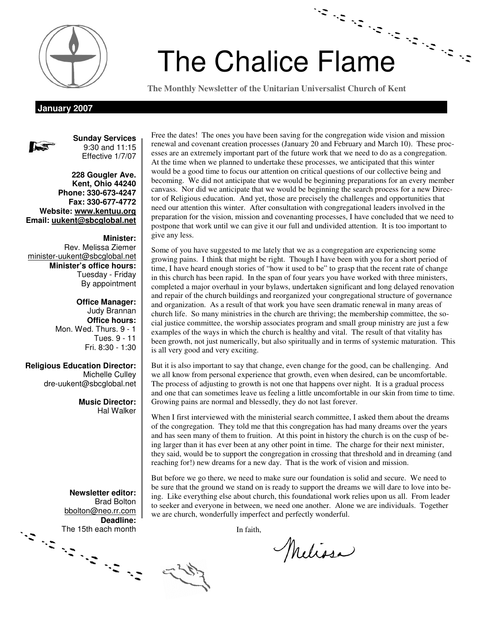

# Chalice Flame *The times they are a-changing - the Service times, that is* p. 1 The Chalice Flame

**The Monthly Newsletter of the Unitarian Universalist Church of Kent** 

**January 2007** 



**Sunday Services**  9:30 and 11:15 Effective 1/7/07

**228 Gougler Ave. Kent, Ohio 44240 Phone: 330-673-4247 Fax: 330-677-4772 Website: www.kentuu.org Email: uukent@sbcglobal.net**

**Minister:**  Rev. Melissa Ziemer minister-uukent@sbcglobal.net **Minister's office hours:**  Tuesday - Friday By appointment

> **Office Manager:** Judy Brannan **Office hours:** Mon. Wed. Thurs. 9 - 1 Tues. 9 - 11 Fri. 8:30 - 1:30

**Religious Education Director:**  Michelle Culley dre-uukent@sbcglobal.net

> **Music Director:**  Hal Walker

**Newsletter editor:**  Brad Bolton bbolton@neo.rr.com **Deadline:**  The 15th each month

Free the dates! The ones you have been saving for the congregation wide vision and mission renewal and covenant creation processes (January 20 and February and March 10). These processes are an extremely important part of the future work that we need to do as a congregation. At the time when we planned to undertake these processes, we anticipated that this winter would be a good time to focus our attention on critical questions of our collective being and becoming. We did not anticipate that we would be beginning preparations for an every member canvass. Nor did we anticipate that we would be beginning the search process for a new Director of Religious education. And yet, those are precisely the challenges and opportunities that need our attention this winter. After consultation with congregational leaders involved in the preparation for the vision, mission and covenanting processes, I have concluded that we need to postpone that work until we can give it our full and undivided attention. It is too important to give any less.

Some of you have suggested to me lately that we as a congregation are experiencing some growing pains. I think that might be right. Though I have been with you for a short period of time, I have heard enough stories of "how it used to be" to grasp that the recent rate of change in this church has been rapid. In the span of four years you have worked with three ministers, completed a major overhaul in your bylaws, undertaken significant and long delayed renovation and repair of the church buildings and reorganized your congregational structure of governance and organization. As a result of that work you have seen dramatic renewal in many areas of church life. So many ministries in the church are thriving; the membership committee, the social justice committee, the worship associates program and small group ministry are just a few examples of the ways in which the church is healthy and vital. The result of that vitality has been growth, not just numerically, but also spiritually and in terms of systemic maturation. This is all very good and very exciting.

But it is also important to say that change, even change for the good, can be challenging. And we all know from personal experience that growth, even when desired, can be uncomfortable. The process of adjusting to growth is not one that happens over night. It is a gradual process and one that can sometimes leave us feeling a little uncomfortable in our skin from time to time. Growing pains are normal and blessedly, they do not last forever.

When I first interviewed with the ministerial search committee, I asked them about the dreams of the congregation. They told me that this congregation has had many dreams over the years and has seen many of them to fruition. At this point in history the church is on the cusp of being larger than it has ever been at any other point in time. The charge for their next minister, they said, would be to support the congregation in crossing that threshold and in dreaming (and reaching for!) new dreams for a new day. That is the work of vision and mission.

But before we go there, we need to make sure our foundation is solid and secure. We need to be sure that the ground we stand on is ready to support the dreams we will dare to love into being. Like everything else about church, this foundational work relies upon us all. From leader to seeker and everyone in between, we need one another. Alone we are individuals. Together we are church, wonderfully imperfect and perfectly wonderful.

In faith,

Melissa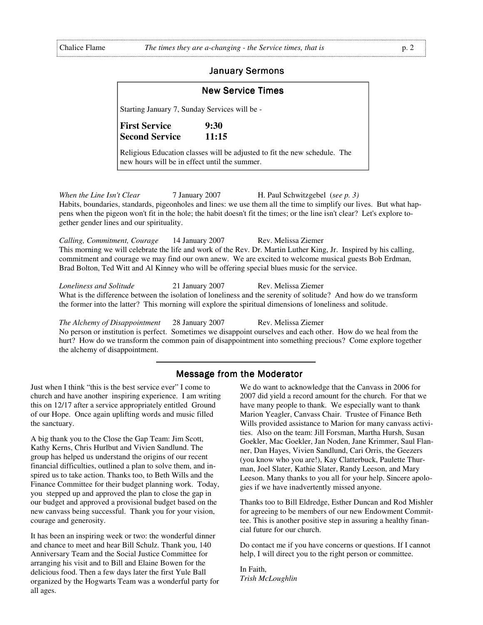### **January Sermons**

| <b>New Service Times</b>                      |                                                                           |  |  |  |  |  |  |
|-----------------------------------------------|---------------------------------------------------------------------------|--|--|--|--|--|--|
| Starting January 7, Sunday Services will be - |                                                                           |  |  |  |  |  |  |
| <b>First Service</b><br><b>Second Service</b> | 9:30<br>11:15                                                             |  |  |  |  |  |  |
| new hours will be in effect until the summer. | Religious Education classes will be adjusted to fit the new schedule. The |  |  |  |  |  |  |

*When the Line Isn't Clear* 7 January 2007 **H.** Paul Schwitzgebel (*see p. 3*) Habits, boundaries, standards, pigeonholes and lines: we use them all the time to simplify our lives. But what happens when the pigeon won't fit in the hole; the habit doesn't fit the times; or the line isn't clear? Let's explore together gender lines and our spirituality.

*Calling, Commitment, Courage* 14 January 2007 Rev. Melissa Ziemer This morning we will celebrate the life and work of the Rev. Dr. Martin Luther King, Jr. Inspired by his calling, commitment and courage we may find our own anew. We are excited to welcome musical guests Bob Erdman, Brad Bolton, Ted Witt and Al Kinney who will be offering special blues music for the service.

*Loneliness and Solitude* 21 January 2007 Rev. Melissa Ziemer What is the difference between the isolation of loneliness and the serenity of solitude? And how do we transform the former into the latter? This morning will explore the spiritual dimensions of loneliness and solitude.

*The Alchemy of Disappointment* 28 January 2007 Rev. Melissa Ziemer No person or institution is perfect. Sometimes we disappoint ourselves and each other. How do we heal from the hurt? How do we transform the common pain of disappointment into something precious? Come explore together the alchemy of disappointment.

# Message from the Moderator

Just when I think "this is the best service ever" I come to church and have another inspiring experience. I am writing this on 12/17 after a service appropriately entitled Ground of our Hope. Once again uplifting words and music filled the sanctuary.

A big thank you to the Close the Gap Team: Jim Scott, Kathy Kerns, Chris Hurlbut and Vivien Sandlund. The group has helped us understand the origins of our recent financial difficulties, outlined a plan to solve them, and inspired us to take action. Thanks too, to Beth Wills and the Finance Committee for their budget planning work. Today, you stepped up and approved the plan to close the gap in our budget and approved a provisional budget based on the new canvass being successful. Thank you for your vision, courage and generosity.

It has been an inspiring week or two: the wonderful dinner and chance to meet and hear Bill Schulz. Thank you, 140 Anniversary Team and the Social Justice Committee for arranging his visit and to Bill and Elaine Bowen for the delicious food. Then a few days later the first Yule Ball organized by the Hogwarts Team was a wonderful party for all ages.

We do want to acknowledge that the Canvass in 2006 for 2007 did yield a record amount for the church. For that we have many people to thank. We especially want to thank Marion Yeagler, Canvass Chair. Trustee of Finance Beth Wills provided assistance to Marion for many canvass activities. Also on the team: Jill Forsman, Martha Hursh, Susan Goekler, Mac Goekler, Jan Noden, Jane Krimmer, Saul Flanner, Dan Hayes, Vivien Sandlund, Cari Orris, the Geezers (you know who you are!), Kay Clatterbuck, Paulette Thurman, Joel Slater, Kathie Slater, Randy Leeson, and Mary Leeson. Many thanks to you all for your help. Sincere apologies if we have inadvertently missed anyone.

Thanks too to Bill Eldredge, Esther Duncan and Rod Mishler for agreeing to be members of our new Endowment Committee. This is another positive step in assuring a healthy financial future for our church.

Do contact me if you have concerns or questions. If I cannot help, I will direct you to the right person or committee.

In Faith, *Trish McLoughlin*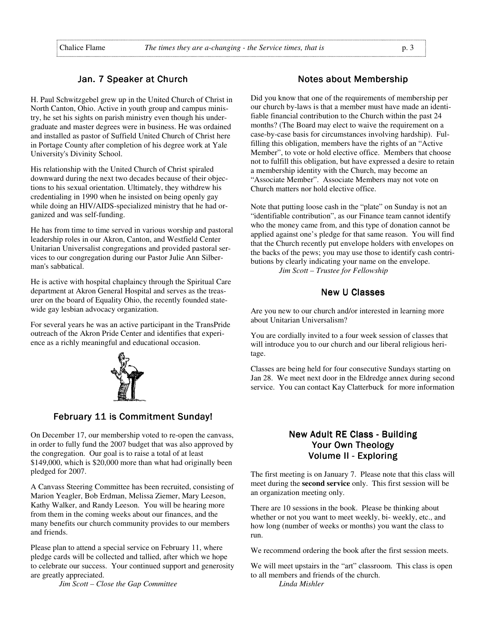# Jan. 7 Speaker at Church

H. Paul Schwitzgebel grew up in the United Church of Christ in North Canton, Ohio. Active in youth group and campus ministry, he set his sights on parish ministry even though his undergraduate and master degrees were in business. He was ordained and installed as pastor of Suffield United Church of Christ here in Portage County after completion of his degree work at Yale University's Divinity School.

His relationship with the United Church of Christ spiraled downward during the next two decades because of their objections to his sexual orientation. Ultimately, they withdrew his credentialing in 1990 when he insisted on being openly gay while doing an HIV/AIDS-specialized ministry that he had organized and was self-funding.

He has from time to time served in various worship and pastoral leadership roles in our Akron, Canton, and Westfield Center Unitarian Universalist congregations and provided pastoral services to our congregation during our Pastor Julie Ann Silberman's sabbatical.

He is active with hospital chaplaincy through the Spiritual Care department at Akron General Hospital and serves as the treasurer on the board of Equality Ohio, the recently founded statewide gay lesbian advocacy organization.

For several years he was an active participant in the TransPride outreach of the Akron Pride Center and identifies that experience as a richly meaningful and educational occasion.



# February 11 is Commitment Sunday!

On December 17, our membership voted to re-open the canvass, in order to fully fund the 2007 budget that was also approved by the congregation. Our goal is to raise a total of at least \$149,000, which is \$20,000 more than what had originally been pledged for 2007.

A Canvass Steering Committee has been recruited, consisting of Marion Yeagler, Bob Erdman, Melissa Ziemer, Mary Leeson, Kathy Walker, and Randy Leeson. You will be hearing more from them in the coming weeks about our finances, and the many benefits our church community provides to our members and friends.

Please plan to attend a special service on February 11, where pledge cards will be collected and tallied, after which we hope to celebrate our success. Your continued support and generosity are greatly appreciated.

 *Jim Scott – Close the Gap Committee*

### Notes about Membership

Did you know that one of the requirements of membership per our church by-laws is that a member must have made an identifiable financial contribution to the Church within the past 24 months? (The Board may elect to waive the requirement on a case-by-case basis for circumstances involving hardship). Fulfilling this obligation, members have the rights of an "Active Member", to vote or hold elective office. Members that choose not to fulfill this obligation, but have expressed a desire to retain a membership identity with the Church, may become an "Associate Member". Associate Members may not vote on Church matters nor hold elective office.

Note that putting loose cash in the "plate" on Sunday is not an "identifiable contribution", as our Finance team cannot identify who the money came from, and this type of donation cannot be applied against one's pledge for that same reason. You will find that the Church recently put envelope holders with envelopes on the backs of the pews; you may use those to identify cash contributions by clearly indicating your name on the envelope.  *Jim Scott – Trustee for Fellowship* 

# **New U Classes**

Are you new to our church and/or interested in learning more about Unitarian Universalism?

You are cordially invited to a four week session of classes that will introduce you to our church and our liberal religious heritage.

Classes are being held for four consecutive Sundays starting on Jan 28. We meet next door in the Eldredge annex during second service. You can contact Kay Clatterbuck for more information

# New Adult RE Class - Building Your Own Theology Volume II - Exploring

The first meeting is on January 7. Please note that this class will meet during the **second service** only. This first session will be an organization meeting only.

There are 10 sessions in the book. Please be thinking about whether or not you want to meet weekly, bi- weekly, etc., and how long (number of weeks or months) you want the class to run.

We recommend ordering the book after the first session meets.

We will meet upstairs in the "art" classroom. This class is open to all members and friends of the church. *Linda Mishler*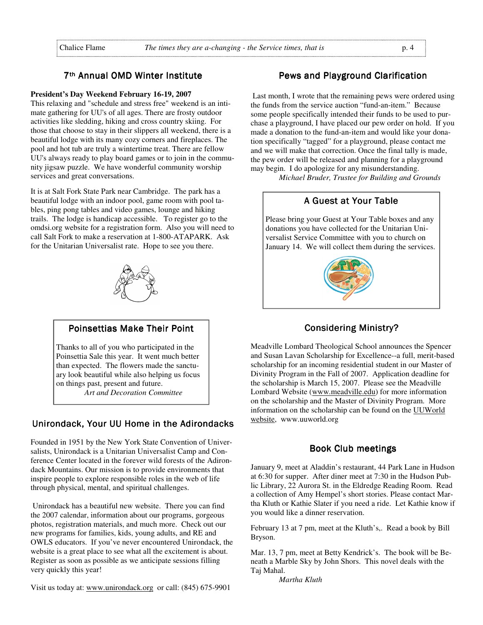# 7<sup>th</sup> Annual OMD Winter Institute

### **President's Day Weekend February 16-19, 2007**

This relaxing and "schedule and stress free" weekend is an intimate gathering for UU's of all ages. There are frosty outdoor activities like sledding, hiking and cross country skiing. For those that choose to stay in their slippers all weekend, there is a beautiful lodge with its many cozy corners and fireplaces. The pool and hot tub are truly a wintertime treat. There are fellow UU's always ready to play board games or to join in the community jigsaw puzzle. We have wonderful community worship services and great conversations.

It is at Salt Fork State Park near Cambridge. The park has a beautiful lodge with an indoor pool, game room with pool tables, ping pong tables and video games, lounge and hiking trails. The lodge is handicap accessible. To register go to the omdsi.org website for a registration form. Also you will need to call Salt Fork to make a reservation at 1-800-ATAPARK. Ask for the Unitarian Universalist rate. Hope to see you there.



# Poinsettias Make Their Point

Thanks to all of you who participated in the Poinsettia Sale this year. It went much better than expected. The flowers made the sanctuary look beautiful while also helping us focus on things past, present and future.  *Art and Decoration Committee* 

# Unirondack, Your UU Home in the Adirondacks

Founded in 1951 by the New York State Convention of Universalists, Unirondack is a Unitarian Universalist Camp and Conference Center located in the forever wild forests of the Adirondack Mountains. Our mission is to provide environments that inspire people to explore responsible roles in the web of life through physical, mental, and spiritual challenges.

 Unirondack has a beautiful new website. There you can find the 2007 calendar, information about our programs, gorgeous photos, registration materials, and much more. Check out our new programs for families, kids, young adults, and RE and OWLS educators. If you've never encountered Unirondack, the website is a great place to see what all the excitement is about. Register as soon as possible as we anticipate sessions filling very quickly this year!

Visit us today at: www.unirondack.org or call: (845) 675-9901

# Pews and Playground Clarification

 Last month, I wrote that the remaining pews were ordered using the funds from the service auction "fund-an-item." Because some people specifically intended their funds to be used to purchase a playground, I have placed our pew order on hold. If you made a donation to the fund-an-item and would like your donation specifically "tagged" for a playground, please contact me and we will make that correction. Once the final tally is made, the pew order will be released and planning for a playground may begin. I do apologize for any misunderstanding.

 *Michael Bruder, Trustee for Building and Grounds* 

# A Guest at Your Table

Please bring your Guest at Your Table boxes and any donations you have collected for the Unitarian Universalist Service Committee with you to church on January 14. We will collect them during the services.



# **Considering Ministry?**

Meadville Lombard Theological School announces the Spencer and Susan Lavan Scholarship for Excellence--a full, merit-based scholarship for an incoming residential student in our Master of Divinity Program in the Fall of 2007. Application deadline for the scholarship is March 15, 2007. Please see the Meadville Lombard Website (www.meadville.edu) for more information on the scholarship and the Master of Divinity Program. More information on the scholarship can be found on the UUWorld website, www.uuworld.org

### Book Club meetings

January 9, meet at Aladdin's restaurant, 44 Park Lane in Hudson at 6:30 for supper. After diner meet at 7:30 in the Hudson Public Library, 22 Aurora St. in the Eldredge Reading Room. Read a collection of Amy Hempel's short stories. Please contact Martha Kluth or Kathie Slater if you need a ride. Let Kathie know if you would like a dinner reservation.

February 13 at 7 pm, meet at the Kluth's,. Read a book by Bill Bryson.

Mar. 13, 7 pm, meet at Betty Kendrick's. The book will be Beneath a Marble Sky by John Shors. This novel deals with the Taj Mahal.

*Martha Kluth*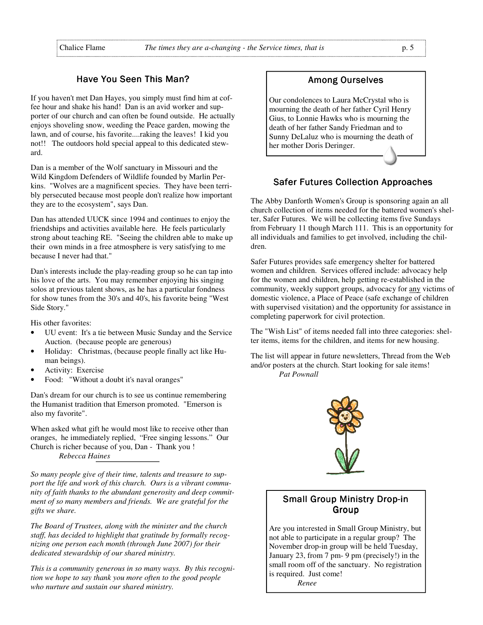# Have You Seen This Man?

If you haven't met Dan Hayes, you simply must find him at coffee hour and shake his hand! Dan is an avid worker and supporter of our church and can often be found outside. He actually enjoys shoveling snow, weeding the Peace garden, mowing the lawn, and of course, his favorite....raking the leaves! I kid you not!! The outdoors hold special appeal to this dedicated steward.

Dan is a member of the Wolf sanctuary in Missouri and the Wild Kingdom Defenders of Wildlife founded by Marlin Perkins. "Wolves are a magnificent species. They have been terribly persecuted because most people don't realize how important they are to the ecosystem", says Dan.

Dan has attended UUCK since 1994 and continues to enjoy the friendships and activities available here. He feels particularly strong about teaching RE. "Seeing the children able to make up their own minds in a free atmosphere is very satisfying to me because I never had that."

Dan's interests include the play-reading group so he can tap into his love of the arts. You may remember enjoying his singing solos at previous talent shows, as he has a particular fondness for show tunes from the 30's and 40's, his favorite being "West Side Story."

His other favorites:

- UU event: It's a tie between Music Sunday and the Service Auction. (because people are generous)
- Holiday: Christmas, (because people finally act like Human beings).
- Activity: Exercise
- Food: "Without a doubt it's naval oranges"

Dan's dream for our church is to see us continue remembering the Humanist tradition that Emerson promoted. "Emerson is also my favorite".

When asked what gift he would most like to receive other than oranges, he immediately replied, "Free singing lessons." Our Church is richer because of you, Dan - Thank you !

*Rebecca Haines* 

*So many people give of their time, talents and treasure to support the life and work of this church. Ours is a vibrant community of faith thanks to the abundant generosity and deep commitment of so many members and friends. We are grateful for the gifts we share.* 

*The Board of Trustees, along with the minister and the church staff, has decided to highlight that gratitude by formally recognizing one person each month (through June 2007) for their dedicated stewardship of our shared ministry.* 

*This is a community generous in so many ways. By this recognition we hope to say thank you more often to the good people who nurture and sustain our shared ministry.* 

# Among Ourselves Among Ourselves

Our condolences to Laura McCrystal who is mourning the death of her father Cyril Henry Gius, to Lonnie Hawks who is mourning the death of her father Sandy Friedman and to Sunny DeLaluz who is mourning the death of her mother Doris Deringer.

# **Safer Futures Collection Approaches**

The Abby Danforth Women's Group is sponsoring again an all church collection of items needed for the battered women's shelter, Safer Futures. We will be collecting items five Sundays from February 11 though March 111. This is an opportunity for all individuals and families to get involved, including the children.

Safer Futures provides safe emergency shelter for battered women and children. Services offered include: advocacy help for the women and children, help getting re-established in the community, weekly support groups, advocacy for any victims of domestic violence, a Place of Peace (safe exchange of children with supervised visitation) and the opportunity for assistance in completing paperwork for civil protection.

The "Wish List" of items needed fall into three categories: shelter items, items for the children, and items for new housing.

The list will appear in future newsletters, Thread from the Web and/or posters at the church. Start looking for sale items! *Pat Pownall*



# **Small Group Ministry Drop-in** Group

Are you interested in Small Group Ministry, but not able to participate in a regular group? The November drop-in group will be held Tuesday, January 23, from 7 pm- 9 pm (precisely!) in the small room off of the sanctuary. No registration is required. Just come!

 *Renee*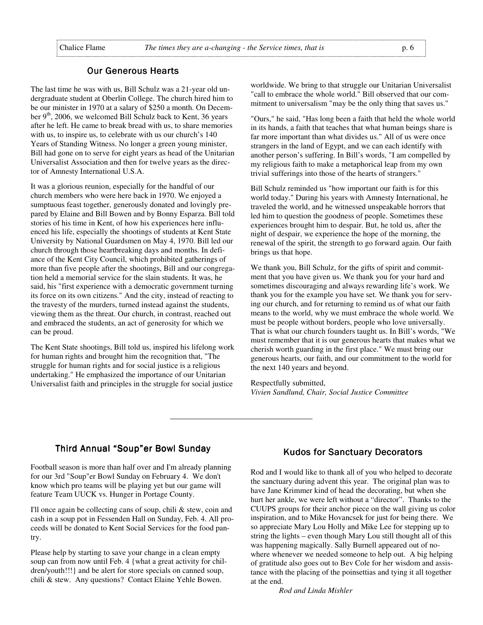# **Our Generous Hearts**

The last time he was with us, Bill Schulz was a 21-year old undergraduate student at Oberlin College. The church hired him to be our minister in 1970 at a salary of \$250 a month. On December  $9<sup>th</sup>$ , 2006, we welcomed Bill Schulz back to Kent, 36 years after he left. He came to break bread with us, to share memories with us, to inspire us, to celebrate with us our church's 140 Years of Standing Witness. No longer a green young minister, Bill had gone on to serve for eight years as head of the Unitarian Universalist Association and then for twelve years as the director of Amnesty International U.S.A.

It was a glorious reunion, especially for the handful of our church members who were here back in 1970. We enjoyed a sumptuous feast together, generously donated and lovingly prepared by Elaine and Bill Bowen and by Bonny Esparza. Bill told stories of his time in Kent, of how his experiences here influenced his life, especially the shootings of students at Kent State University by National Guardsmen on May 4, 1970. Bill led our church through those heartbreaking days and months. In defiance of the Kent City Council, which prohibited gatherings of more than five people after the shootings, Bill and our congregation held a memorial service for the slain students. It was, he said, his "first experience with a democratic government turning its force on its own citizens." And the city, instead of reacting to the travesty of the murders, turned instead against the students, viewing them as the threat. Our church, in contrast, reached out and embraced the students, an act of generosity for which we can be proud.

The Kent State shootings, Bill told us, inspired his lifelong work for human rights and brought him the recognition that, "The struggle for human rights and for social justice is a religious undertaking." He emphasized the importance of our Unitarian Universalist faith and principles in the struggle for social justice

worldwide. We bring to that struggle our Unitarian Universalist "call to embrace the whole world." Bill observed that our commitment to universalism "may be the only thing that saves us."

"Ours," he said, "Has long been a faith that held the whole world in its hands, a faith that teaches that what human beings share is far more important than what divides us." All of us were once strangers in the land of Egypt, and we can each identify with another person's suffering. In Bill's words, "I am compelled by my religious faith to make a metaphorical leap from my own trivial sufferings into those of the hearts of strangers."

Bill Schulz reminded us "how important our faith is for this world today." During his years with Amnesty International, he traveled the world, and he witnessed unspeakable horrors that led him to question the goodness of people. Sometimes these experiences brought him to despair. But, he told us, after the night of despair, we experience the hope of the morning, the renewal of the spirit, the strength to go forward again. Our faith brings us that hope.

We thank you, Bill Schulz, for the gifts of spirit and commitment that you have given us. We thank you for your hard and sometimes discouraging and always rewarding life's work. We thank you for the example you have set. We thank you for serving our church, and for returning to remind us of what our faith means to the world, why we must embrace the whole world. We must be people without borders, people who love universally. That is what our church founders taught us. In Bill's words, "We must remember that it is our generous hearts that makes what we cherish worth guarding in the first place." We must bring our generous hearts, our faith, and our commitment to the world for the next 140 years and beyond.

Respectfully submitted, *Vivien Sandlund, Chair, Social Justice Committee*

# Third Annual "Soup"er Bowl Sunday

Football season is more than half over and I'm already planning for our 3rd "Soup"er Bowl Sunday on February 4. We don't know which pro teams will be playing yet but our game will feature Team UUCK vs. Hunger in Portage County.

I'll once again be collecting cans of soup, chili & stew, coin and cash in a soup pot in Fessenden Hall on Sunday, Feb. 4. All proceeds will be donated to Kent Social Services for the food pantry.

Please help by starting to save your change in a clean empty soup can from now until Feb. 4 {what a great activity for children/youth!!!} and be alert for store specials on canned soup, chili & stew. Any questions? Contact Elaine Yehle Bowen.

# **Kudos for Sanctuary Decorators**

Rod and I would like to thank all of you who helped to decorate the sanctuary during advent this year. The original plan was to have Jane Krimmer kind of head the decorating, but when she hurt her ankle, we were left without a "director". Thanks to the CUUPS groups for their anchor piece on the wall giving us color inspiration, and to Mike Hovancsek for just for being there. We so appreciate Mary Lou Holly and Mike Lee for stepping up to string the lights – even though Mary Lou still thought all of this was happening magically. Sally Burnell appeared out of nowhere whenever we needed someone to help out. A big helping of gratitude also goes out to Bev Cole for her wisdom and assistance with the placing of the poinsettias and tying it all together at the end.

 *Rod and Linda Mishler*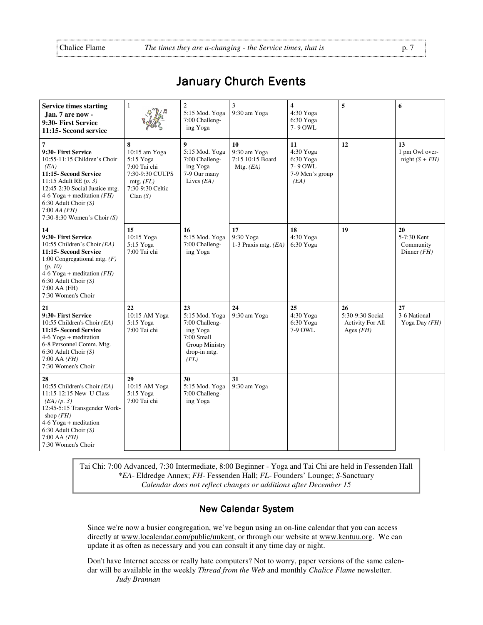*(EA) (p. 3)* 

shop *(FH)*  4-6 Yoga + meditation 6:30 Adult Choir *(S)*  7:00 AA *(FH)*  7:30 Women's Choir

11:15-12:15 New U Class

12:45-5:15 Transgender Work-

5:15 Yoga 7:00 Tai chi

| <b>Service times starting</b><br>Jan. 7 are now -<br>9:30- First Service<br>11:15-Second service                                                                                                                                                                    | 1                                                                                                                  | $\overline{2}$<br>5:15 Mod. Yoga<br>7:00 Challeng-<br>ing Yoga                                                      | 3<br>9:30 am Yoga                                     | $\overline{4}$<br>4:30 Yoga<br>6:30 Yoga<br>7-9 OWL                | 5                                                                | 6                                               |
|---------------------------------------------------------------------------------------------------------------------------------------------------------------------------------------------------------------------------------------------------------------------|--------------------------------------------------------------------------------------------------------------------|---------------------------------------------------------------------------------------------------------------------|-------------------------------------------------------|--------------------------------------------------------------------|------------------------------------------------------------------|-------------------------------------------------|
| 7<br>9:30- First Service<br>10:55-11:15 Children's Choir<br>(EA)<br>11:15- Second Service<br>11:15 Adult RE $(p. 3)$<br>12:45-2:30 Social Justice mtg.<br>4-6 Yoga + meditation $(FH)$<br>6:30 Adult Choir $(S)$<br>$7:00$ AA (FH)<br>7:30-8:30 Women's Choir $(S)$ | 8<br>10:15 am Yoga<br>$5:15$ Yoga<br>7:00 Tai chi<br>7:30-9:30 CUUPS<br>mtg. $(FL)$<br>7:30-9:30 Celtic<br>Clan(S) | 9<br>5:15 Mod. Yoga<br>7:00 Challeng-<br>ing Yoga<br>7-9 Our many<br>Lives $(EA)$                                   | 10<br>9:30 am Yoga<br>7:15 10:15 Board<br>Mtg. $(EA)$ | 11<br>4:30 Yoga<br>6:30 Yoga<br>7-9 OWL<br>7-9 Men's group<br>(EA) | 12                                                               | 13<br>1 pm Owl over-<br>night $(S + FH)$        |
| 14<br>9:30- First Service<br>10:55 Children's Choir (EA)<br>11:15- Second Service<br>1:00 Congregational mtg. $(F)$<br>(p. 10)<br>4-6 Yoga + meditation $(FH)$<br>$6:30$ Adult Choir $(S)$<br>7:00 AA (FH)<br>7:30 Women's Choir                                    | 15<br>10:15 Yoga<br>5:15 Yoga<br>7:00 Tai chi                                                                      | 16<br>5:15 Mod. Yoga<br>7:00 Challeng-<br>ing Yoga                                                                  | 17<br>9:30 Yoga<br>1-3 Praxis mtg. $(EA)$             | 18<br>4:30 Yoga<br>6:30 Yoga                                       | 19                                                               | 20<br>5-7:30 Kent<br>Community<br>Dinner $(FH)$ |
| 21<br>9:30- First Service<br>10:55 Children's Choir (EA)<br>11:15- Second Service<br>$4-6$ Yoga + meditation<br>6-8 Personnel Comm. Mtg.<br>$6:30$ Adult Choir $(S)$<br>$7:00$ AA $(FH)$<br>7:30 Women's Choir                                                      | 22<br>10:15 AM Yoga<br>5:15 Yoga<br>7:00 Tai chi                                                                   | 23<br>5:15 Mod. Yoga<br>7:00 Challeng-<br>ing Yoga<br>$7:00$ Small<br><b>Group Ministry</b><br>drop-in mtg.<br>(FL) | 24<br>9:30 am Yoga                                    | 25<br>4:30 Yoga<br>6:30 Yoga<br>7-9 OWL                            | 26<br>5:30-9:30 Social<br><b>Activity For All</b><br>Ages $(FH)$ | 27<br>3-6 National<br>Yoga Day $(FH)$           |
| 28<br>10:55 Children's Choir (EA)                                                                                                                                                                                                                                   | 29<br>10:15 AM Yoga                                                                                                | 30<br>5:15 Mod. Yoga   9:30 am Yoga                                                                                 | 31                                                    |                                                                    |                                                                  |                                                 |

# **January Church Events**

Tai Chi: 7:00 Advanced, 7:30 Intermediate, 8:00 Beginner - Yoga and Tai Chi are held in Fessenden Hall \**EA*- Eldredge Annex; *FH*- Fessenden Hall; *FL*- Founders' Lounge; *S*-Sanctuary *Calendar does not reflect changes or additions after December 15*

7:00 Challenging Yoga

# **New Calendar System**

Since we're now a busier congregation, we've begun using an on-line calendar that you can access directly at www.localendar.com/public/uukent, or through our website at www.kentuu.org. We can update it as often as necessary and you can consult it any time day or night.

Don't have Internet access or really hate computers? Not to worry, paper versions of the same calendar will be available in the weekly *Thread from the Web* and monthly *Chalice Flame* newsletter.  *Judy Brannan*